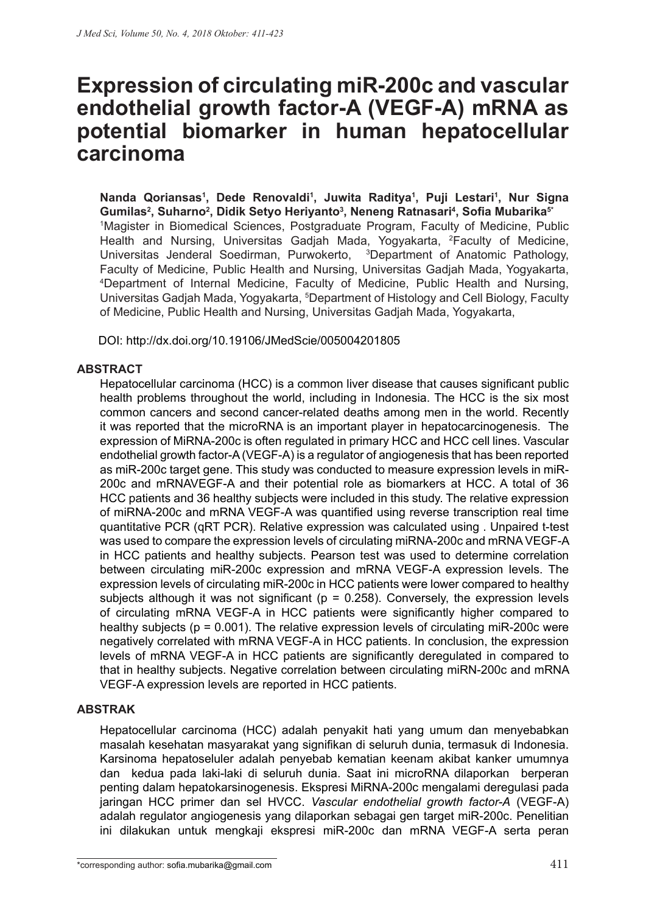# **Expression of circulating miR-200c and vascular endothelial growth factor-A (VEGF-A) mRNA as potential biomarker in human hepatocellular carcinoma**

**Nanda Qoriansas1 , Dede Renovaldi1 , Juwita Raditya1 , Puji Lestari1 , Nur Signa Gumilas2 , Suharno2 , Didik Setyo Heriyanto3 , Neneng Ratnasari4 , Sofia Mubarika5\*** 1 Magister in Biomedical Sciences, Postgraduate Program, Faculty of Medicine, Public Health and Nursing, Universitas Gadjah Mada, Yogyakarta, <sup>2</sup>Faculty of Medicine, Universitas Jenderal Soedirman, Purwokerto, <sup>3</sup>Department of Anatomic Pathology, Faculty of Medicine, Public Health and Nursing, Universitas Gadjah Mada, Yogyakarta, 4 Department of Internal Medicine, Faculty of Medicine, Public Health and Nursing, Universitas Gadjah Mada, Yogyakarta, <sup>5</sup>Department of Histology and Cell Biology, Faculty of Medicine, Public Health and Nursing, Universitas Gadjah Mada, Yogyakarta,

DOI: http://dx.doi.org/10.19106/JMedScie/005004201805

### **ABSTRACT**

Hepatocellular carcinoma (HCC) is a common liver disease that causes significant public health problems throughout the world, including in Indonesia. The HCC is the six most common cancers and second cancer-related deaths among men in the world. Recently it was reported that the microRNA is an important player in hepatocarcinogenesis. The expression of MiRNA-200c is often regulated in primary HCC and HCC cell lines. Vascular endothelial growth factor-A (VEGF-A) is a regulator of angiogenesis that has been reported as miR-200c target gene. This study was conducted to measure expression levels in miR-200c and mRNAVEGF-A and their potential role as biomarkers at HCC. A total of 36 HCC patients and 36 healthy subjects were included in this study. The relative expression of miRNA-200c and mRNA VEGF-A was quantified using reverse transcription real time quantitative PCR (qRT PCR). Relative expression was calculated using . Unpaired t-test was used to compare the expression levels of circulating miRNA-200c and mRNA VEGF-A in HCC patients and healthy subjects. Pearson test was used to determine correlation between circulating miR-200c expression and mRNA VEGF-A expression levels. The expression levels of circulating miR-200c in HCC patients were lower compared to healthy subjects although it was not significant ( $p = 0.258$ ). Conversely, the expression levels of circulating mRNA VEGF-A in HCC patients were significantly higher compared to healthy subjects ( $p = 0.001$ ). The relative expression levels of circulating miR-200c were negatively correlated with mRNA VEGF-A in HCC patients. In conclusion, the expression levels of mRNA VEGF-A in HCC patients are significantly deregulated in compared to that in healthy subjects. Negative correlation between circulating miRN-200c and mRNA VEGF-A expression levels are reported in HCC patients.

## **ABSTRAK**

Hepatocellular carcinoma (HCC) adalah penyakit hati yang umum dan menyebabkan masalah kesehatan masyarakat yang signifikan di seluruh dunia, termasuk di Indonesia. Karsinoma hepatoseluler adalah penyebab kematian keenam akibat kanker umumnya dan kedua pada laki-laki di seluruh dunia. Saat ini microRNA dilaporkan berperan penting dalam hepatokarsinogenesis. Ekspresi MiRNA-200c mengalami deregulasi pada jaringan HCC primer dan sel HVCC. *Vascular endothelial growth factor-A* (VEGF-A) adalah regulator angiogenesis yang dilaporkan sebagai gen target miR-200c. Penelitian ini dilakukan untuk mengkaji ekspresi miR-200c dan mRNA VEGF-A serta peran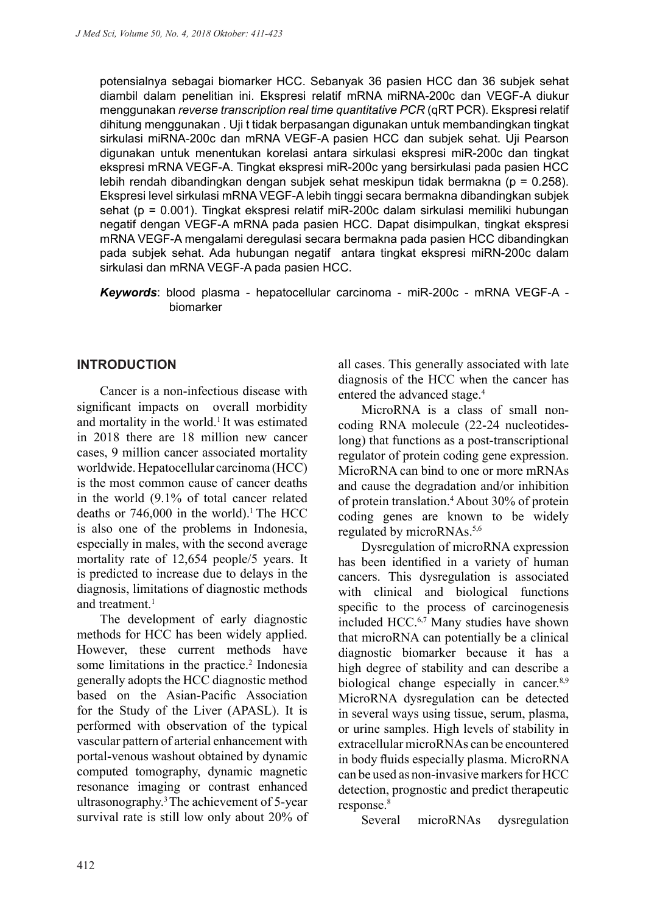potensialnya sebagai biomarker HCC. Sebanyak 36 pasien HCC dan 36 subjek sehat diambil dalam penelitian ini. Ekspresi relatif mRNA miRNA-200c dan VEGF-A diukur menggunakan *reverse transcription real time quantitative PCR* (qRT PCR). Ekspresi relatif dihitung menggunakan . Uji t tidak berpasangan digunakan untuk membandingkan tingkat sirkulasi miRNA-200c dan mRNA VEGF-A pasien HCC dan subjek sehat. Uji Pearson digunakan untuk menentukan korelasi antara sirkulasi ekspresi miR-200c dan tingkat ekspresi mRNA VEGF-A. Tingkat ekspresi miR-200c yang bersirkulasi pada pasien HCC lebih rendah dibandingkan dengan subjek sehat meskipun tidak bermakna ( $p = 0.258$ ). Ekspresi level sirkulasi mRNA VEGF-A lebih tinggi secara bermakna dibandingkan subjek sehat (p = 0.001). Tingkat ekspresi relatif miR-200c dalam sirkulasi memiliki hubungan negatif dengan VEGF-A mRNA pada pasien HCC. Dapat disimpulkan, tingkat ekspresi mRNA VEGF-A mengalami deregulasi secara bermakna pada pasien HCC dibandingkan pada subjek sehat. Ada hubungan negatif antara tingkat ekspresi miRN-200c dalam sirkulasi dan mRNA VEGF-A pada pasien HCC.

*Keywords*: blood plasma - hepatocellular carcinoma - miR-200c - mRNA VEGF-A biomarker

## **INTRODUCTION**

Cancer is a non-infectious disease with significant impacts on overall morbidity and mortality in the world.<sup>1</sup> It was estimated in 2018 there are 18 million new cancer cases, 9 million cancer associated mortality worldwide. Hepatocellular carcinoma (HCC) is the most common cause of cancer deaths in the world (9.1% of total cancer related deaths or  $746,000$  in the world).<sup>1</sup> The HCC is also one of the problems in Indonesia, especially in males, with the second average mortality rate of 12,654 people/5 years. It is predicted to increase due to delays in the diagnosis, limitations of diagnostic methods and treatment.<sup>1</sup>

The development of early diagnostic methods for HCC has been widely applied. However, these current methods have some limitations in the practice.<sup>2</sup> Indonesia generally adopts the HCC diagnostic method based on the Asian-Pacific Association for the Study of the Liver (APASL). It is performed with observation of the typical vascular pattern of arterial enhancement with portal-venous washout obtained by dynamic computed tomography, dynamic magnetic resonance imaging or contrast enhanced ultrasonography.3 The achievement of 5-year survival rate is still low only about 20% of all cases. This generally associated with late diagnosis of the HCC when the cancer has entered the advanced stage.<sup>4</sup>

MicroRNA is a class of small noncoding RNA molecule (22-24 nucleotideslong) that functions as a post-transcriptional regulator of protein coding gene expression. MicroRNA can bind to one or more mRNAs and cause the degradation and/or inhibition of protein translation.4 About 30% of protein coding genes are known to be widely regulated by microRNAs.5,6

Dysregulation of microRNA expression has been identified in a variety of human cancers. This dysregulation is associated with clinical and biological functions specific to the process of carcinogenesis included HCC.6,7 Many studies have shown that microRNA can potentially be a clinical diagnostic biomarker because it has a high degree of stability and can describe a biological change especially in cancer.<sup>8,9</sup> MicroRNA dysregulation can be detected in several ways using tissue, serum, plasma, or urine samples. High levels of stability in extracellular microRNAs can be encountered in body fluids especially plasma. MicroRNA can be used as non-invasive markers for HCC detection, prognostic and predict therapeutic response.<sup>8</sup>

Several microRNAs dysregulation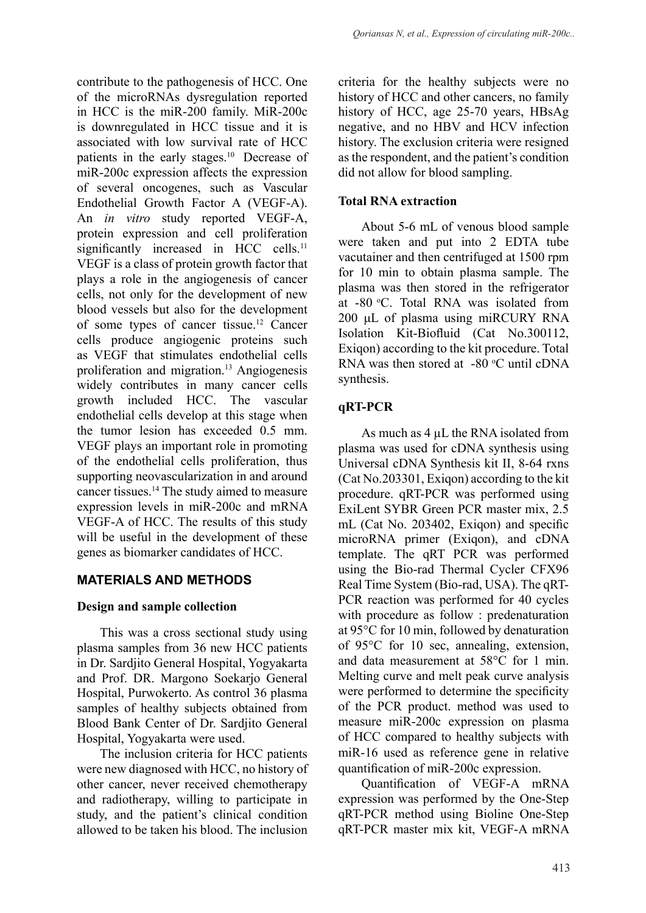contribute to the pathogenesis of HCC. One of the microRNAs dysregulation reported in HCC is the miR-200 family. MiR-200c is downregulated in HCC tissue and it is associated with low survival rate of HCC patients in the early stages.<sup>10</sup> Decrease of miR-200c expression affects the expression of several oncogenes, such as Vascular Endothelial Growth Factor A (VEGF-A). An *in vitro* study reported VEGF-A, protein expression and cell proliferation significantly increased in HCC cells.<sup>11</sup> VEGF is a class of protein growth factor that plays a role in the angiogenesis of cancer cells, not only for the development of new blood vessels but also for the development of some types of cancer tissue.12 Cancer cells produce angiogenic proteins such as VEGF that stimulates endothelial cells proliferation and migration.13 Angiogenesis widely contributes in many cancer cells growth included HCC. The vascular endothelial cells develop at this stage when the tumor lesion has exceeded 0.5 mm. VEGF plays an important role in promoting of the endothelial cells proliferation, thus supporting neovascularization in and around cancer tissues.14 The study aimed to measure expression levels in miR-200c and mRNA VEGF-A of HCC. The results of this study will be useful in the development of these genes as biomarker candidates of HCC.

## **MATERIALS AND METHODS**

## **Design and sample collection**

This was a cross sectional study using plasma samples from 36 new HCC patients in Dr. Sardjito General Hospital, Yogyakarta and Prof. DR. Margono Soekarjo General Hospital, Purwokerto. As control 36 plasma samples of healthy subjects obtained from Blood Bank Center of Dr. Sardjito General Hospital, Yogyakarta were used.

The inclusion criteria for HCC patients were new diagnosed with HCC, no history of other cancer, never received chemotherapy and radiotherapy, willing to participate in study, and the patient's clinical condition allowed to be taken his blood. The inclusion criteria for the healthy subjects were no history of HCC and other cancers, no family history of HCC, age 25-70 years, HBsAg negative, and no HBV and HCV infection history. The exclusion criteria were resigned as the respondent, and the patient's condition did not allow for blood sampling.

## **Total RNA extraction**

About 5-6 mL of venous blood sample were taken and put into 2 EDTA tube vacutainer and then centrifuged at 1500 rpm for 10 min to obtain plasma sample. The plasma was then stored in the refrigerator at -80 °C. Total RNA was isolated from 200 μL of plasma using miRCURY RNA Isolation Kit-Biofluid (Cat No.300112, Exiqon) according to the kit procedure. Total RNA was then stored at  $-80$  °C until cDNA synthesis.

## **qRT-PCR**

As much as 4  $\mu$ L the RNA isolated from plasma was used for cDNA synthesis using Universal cDNA Synthesis kit II, 8-64 rxns (Cat No.203301, Exiqon) according to the kit procedure. qRT-PCR was performed using ExiLent SYBR Green PCR master mix, 2.5 mL (Cat No. 203402, Exiqon) and specific microRNA primer (Exiqon), and cDNA template. The qRT PCR was performed using the Bio-rad Thermal Cycler CFX96 Real Time System (Bio-rad, USA). The qRT-PCR reaction was performed for 40 cycles with procedure as follow : predenaturation at 95°C for 10 min, followed by denaturation of 95°C for 10 sec, annealing, extension, and data measurement at 58°C for 1 min. Melting curve and melt peak curve analysis were performed to determine the specificity of the PCR product. method was used to measure miR-200c expression on plasma of HCC compared to healthy subjects with miR-16 used as reference gene in relative quantification of miR-200c expression.

Quantification of VEGF-A mRNA expression was performed by the One-Step qRT-PCR method using Bioline One-Step qRT-PCR master mix kit, VEGF-A mRNA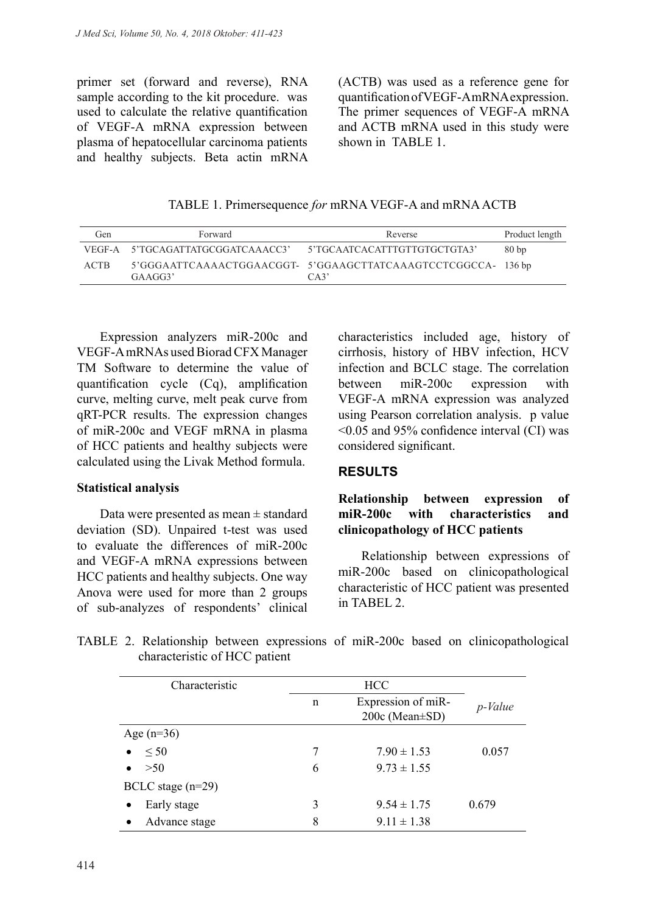primer set (forward and reverse), RNA sample according to the kit procedure. was used to calculate the relative quantification of VEGF-A mRNA expression between plasma of hepatocellular carcinoma patients and healthy subjects. Beta actin mRNA

(ACTB) was used as a reference gene for quantification of VEGF-A mRNA expression. The primer sequences of VEGF-A mRNA and ACTB mRNA used in this study were shown in TABLE 1

TABLE 1. Primersequence *for* mRNA VEGF-A and mRNA ACTB

| Gen         | Forward                           | Reverse                                                             |      |
|-------------|-----------------------------------|---------------------------------------------------------------------|------|
|             | VEGF-A 5'TGCAGATTATGCGGATCAAACC3' | 5'TGCAATCACATTTGTTGTGCTGTA3'                                        | 80bp |
| <b>ACTB</b> | GAAGG3'                           | 5'GGGAATTCAAAACTGGAACGGT-5'GGAAGCTTATCAAAGTCCTCGGCCA-136 bp<br>CA3' |      |

Expression analyzers miR-200c and VEGF-A mRNAs used Biorad CFX Manager TM Software to determine the value of quantification cycle (Cq), amplification curve, melting curve, melt peak curve from qRT-PCR results. The expression changes of miR-200c and VEGF mRNA in plasma of HCC patients and healthy subjects were calculated using the Livak Method formula.

#### **Statistical analysis**

Data were presented as mean ± standard deviation (SD). Unpaired t-test was used to evaluate the differences of miR-200c and VEGF-A mRNA expressions between HCC patients and healthy subjects. One way Anova were used for more than 2 groups of sub-analyzes of respondents' clinical characteristics included age, history of cirrhosis, history of HBV infection, HCV infection and BCLC stage. The correlation between miR-200c expression with VEGF-A mRNA expression was analyzed using Pearson correlation analysis. p value <0.05 and 95% confidence interval (CI) was considered significant.

#### **RESULTS**

## **Relationship between expression of miR-200c with characteristics and clinicopathology of HCC patients**

Relationship between expressions of miR-200c based on clinicopathological characteristic of HCC patient was presented in TABEL 2.

|                               |  |  |  | TABLE 2. Relationship between expressions of miR-200c based on clinicopathological |
|-------------------------------|--|--|--|------------------------------------------------------------------------------------|
| characteristic of HCC patient |  |  |  |                                                                                    |

| Characteristic             |   | <b>HCC</b>                           |         |  |
|----------------------------|---|--------------------------------------|---------|--|
|                            | n | Expression of miR-<br>200c (Mean±SD) | p-Value |  |
| Age $(n=36)$               |   |                                      |         |  |
| $\leq 50$<br>٠             | 7 | $7.90 \pm 1.53$                      | 0.057   |  |
| $>50$<br>$\bullet$         | 6 | $9.73 \pm 1.55$                      |         |  |
| BCLC stage $(n=29)$        |   |                                      |         |  |
| Early stage<br>٠           | 3 | $9.54 \pm 1.75$                      | 0.679   |  |
| Advance stage<br>$\bullet$ | 8 | $9.11 \pm 1.38$                      |         |  |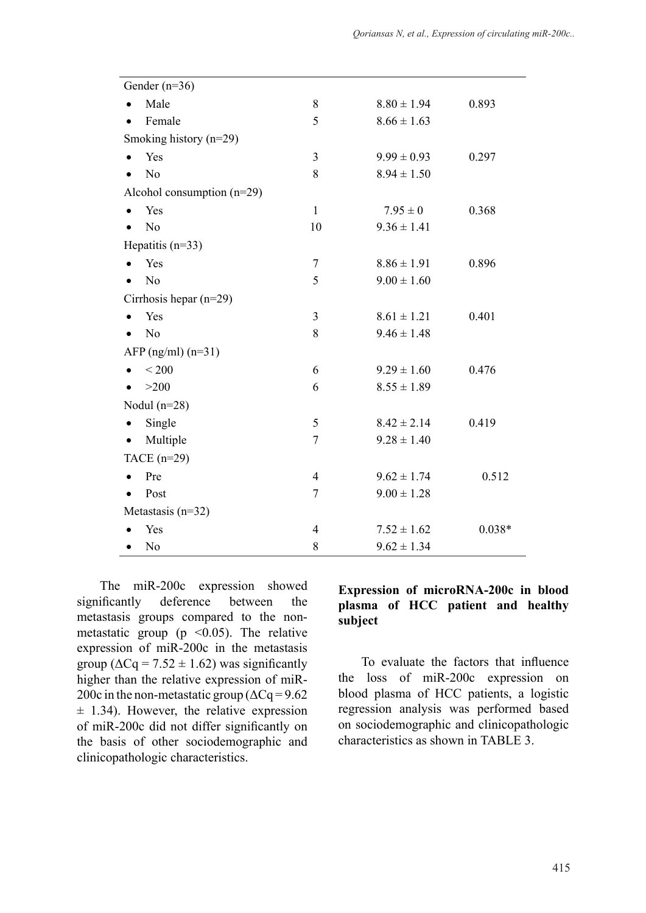| Gender $(n=36)$             |   |                 |       |
|-----------------------------|---|-----------------|-------|
| • Male                      | 8 | $8.80 \pm 1.94$ | 0.893 |
| • Female                    | 5 | $8.66 \pm 1.63$ |       |
| Smoking history $(n=29)$    |   |                 |       |
| $\bullet$ Yes               | 3 | $9.99 \pm 0.93$ | 0.297 |
| N <sub>0</sub><br>$\bullet$ | 8 | $8.94 \pm 1.50$ |       |
| Alcohol consumption (n=29)  |   |                 |       |

| T CHRIC                      | ◡              | $0.00 + 1.03$   |          |
|------------------------------|----------------|-----------------|----------|
| Smoking history $(n=29)$     |                |                 |          |
| Yes<br>$\bullet$             | $\overline{3}$ | $9.99 \pm 0.93$ | 0.297    |
| N <sub>o</sub><br>$\bullet$  | 8              | $8.94 \pm 1.50$ |          |
| Alcohol consumption $(n=29)$ |                |                 |          |
| Yes                          | $\mathbf{1}$   | $7.95 \pm 0$    | 0.368    |
| N <sub>o</sub>               | 10             | $9.36 \pm 1.41$ |          |
| Hepatitis $(n=33)$           |                |                 |          |
| Yes                          | $\overline{7}$ | $8.86 \pm 1.91$ | 0.896    |
| N <sub>o</sub>               | 5              | $9.00 \pm 1.60$ |          |
| Cirrhosis hepar $(n=29)$     |                |                 |          |
| Yes                          | 3              | $8.61 \pm 1.21$ | 0.401    |
| N <sub>o</sub>               | 8              | $9.46 \pm 1.48$ |          |
| AFP $(ng/ml)$ $(n=31)$       |                |                 |          |
| < 200                        | 6              | $9.29 \pm 1.60$ | 0.476    |
| >200<br>$\bullet$            | 6              | $8.55 \pm 1.89$ |          |
| Nodul $(n=28)$               |                |                 |          |
| Single<br>$\bullet$          | 5              | $8.42 \pm 2.14$ | 0.419    |
| Multiple<br>٠                | 7              | $9.28 \pm 1.40$ |          |
| TACE $(n=29)$                |                |                 |          |
| Pre<br>$\bullet$             | $\overline{4}$ | $9.62 \pm 1.74$ | 0.512    |
| Post<br>$\bullet$            | 7              | $9.00 \pm 1.28$ |          |
| Metastasis $(n=32)$          |                |                 |          |
| Yes                          | $\overline{4}$ | $7.52 \pm 1.62$ | $0.038*$ |
| N <sub>0</sub><br>$\bullet$  | 8              | $9.62 \pm 1.34$ |          |

The miR-200c expression showed significantly deference between the metastasis groups compared to the nonmetastatic group ( $p \le 0.05$ ). The relative expression of miR-200c in the metastasis group ( $\Delta Cq = 7.52 \pm 1.62$ ) was significantly higher than the relative expression of miR-200c in the non-metastatic group ( $\Delta Cq = 9.62$ )  $\pm$  1.34). However, the relative expression of miR-200c did not differ significantly on the basis of other sociodemographic and clinicopathologic characteristics.

Gender (n=36)

## **Expression of microRNA-200c in blood plasma of HCC patient and healthy subject**

To evaluate the factors that influence the loss of miR-200c expression on blood plasma of HCC patients, a logistic regression analysis was performed based on sociodemographic and clinicopathologic characteristics as shown in TABLE 3.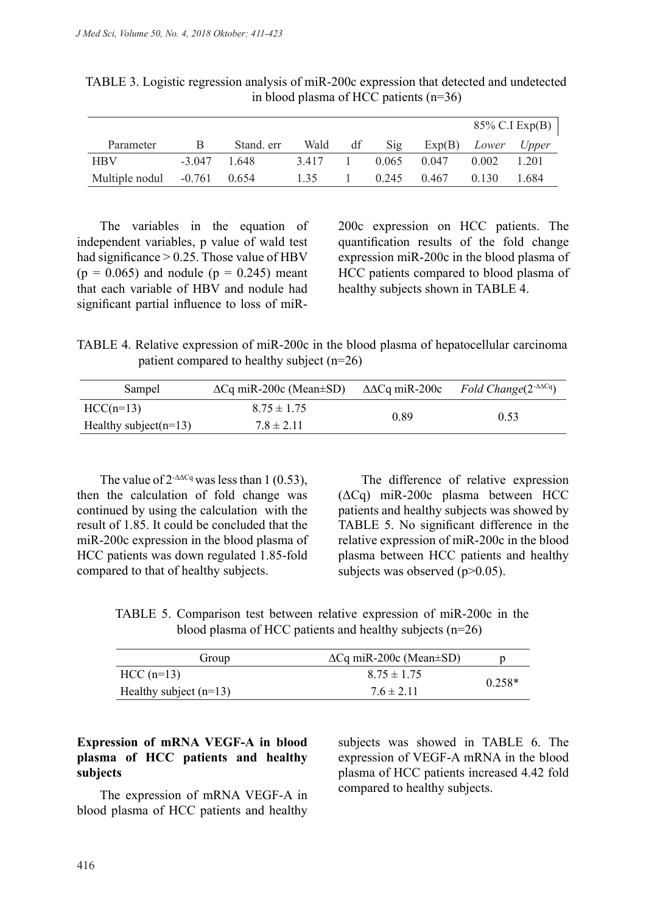|                               |                |            |      |    |                |             |                             | 85% C.I Exp(B) $ $ |
|-------------------------------|----------------|------------|------|----|----------------|-------------|-----------------------------|--------------------|
| Parameter                     | B              | Stand. err | Wald | df | $\mathrm{Sig}$ |             | $Exp(B)$ <i>Lower Upper</i> |                    |
| <b>HBV</b>                    | $-3.047$ 1.648 |            | 3417 |    |                | 0.065 0.047 | 0.002                       | 1 201              |
| Multiple nodul $-0.761$ 0.654 |                |            | 135  |    |                | 0.245 0.467 | 0.130                       | 1.684              |

TABLE 3. Logistic regression analysis of miR-200c expression that detected and undetected in blood plasma of HCC patients (n=36)

The variables in the equation of independent variables, p value of wald test had significance  $> 0.25$ . Those value of HBV  $(p = 0.065)$  and nodule  $(p = 0.245)$  meant that each variable of HBV and nodule had significant partial influence to loss of miR- 200c expression on HCC patients. The quantification results of the fold change expression miR-200c in the blood plasma of HCC patients compared to blood plasma of healthy subjects shown in TABLE 4.

TABLE 4. Relative expression of miR-200c in the blood plasma of hepatocellular carcinoma patient compared to healthy subject (n=26)

| Sampel                    | $\Delta$ Cq miR-200c (Mean $\pm$ SD) | $\triangle$ ACq miR-200c | Fold Change( $2^{-\Delta\Delta C}$ q) |
|---------------------------|--------------------------------------|--------------------------|---------------------------------------|
| $HCC(n=13)$               | $8.75 \pm 1.75$                      | 0.89                     | 0.53                                  |
| Healthy subject( $n=13$ ) | $7.8 \pm 2.11$                       |                          |                                       |

The value of  $2^{\text{-}\Delta\Delta Cq}$  was less than 1 (0.53), then the calculation of fold change was continued by using the calculation with the result of 1.85. It could be concluded that the miR-200c expression in the blood plasma of HCC patients was down regulated 1.85-fold compared to that of healthy subjects.

The difference of relative expression (ΔCq) miR-200c plasma between HCC patients and healthy subjects was showed by TABLE 5. No significant difference in the relative expression of miR-200c in the blood plasma between HCC patients and healthy subjects was observed  $(p>0.05)$ .

TABLE 5. Comparison test between relative expression of miR-200c in the blood plasma of HCC patients and healthy subjects (n=26)

| Group                    | $\Delta$ Cq miR-200c (Mean $\pm$ SD) |          |
|--------------------------|--------------------------------------|----------|
| $HCC(n=13)$              | $8.75 \pm 1.75$                      |          |
| Healthy subject $(n=13)$ | $7.6 \pm 2.11$                       | $0.258*$ |

## **Expression of mRNA VEGF-A in blood plasma of HCC patients and healthy subjects**

The expression of mRNA VEGF-A in blood plasma of HCC patients and healthy subjects was showed in TABLE 6. The expression of VEGF-A mRNA in the blood plasma of HCC patients increased 4.42 fold compared to healthy subjects.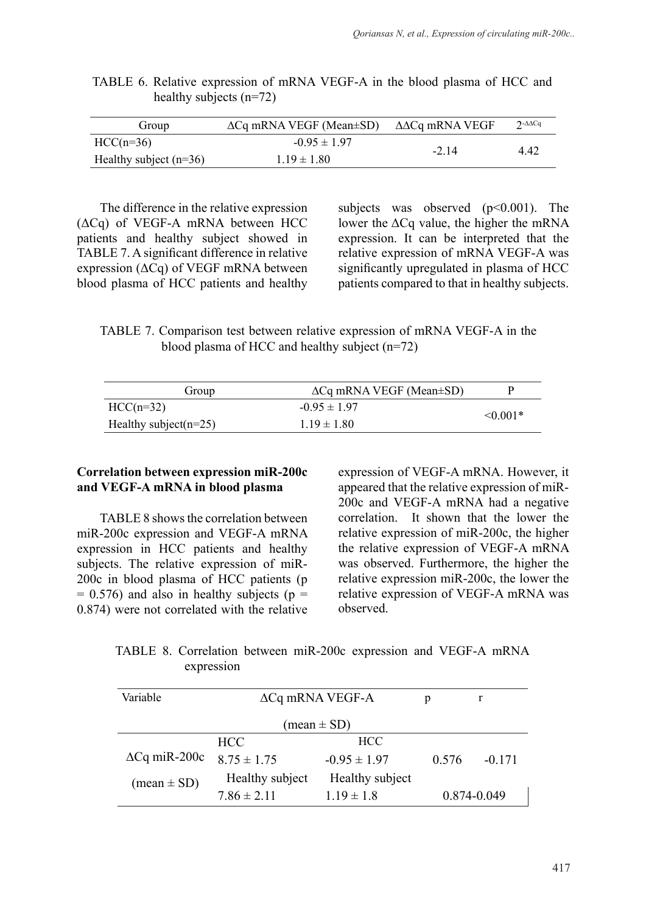| Group                    | $\Delta Cq$ mRNA VEGF (Mean $\pm SD$ ) | ΔΔCq mRNA VEGF | $2-AACq$ |
|--------------------------|----------------------------------------|----------------|----------|
| $HCC(n=36)$              | $-0.95 \pm 1.97$                       | $-2.14$        | 4 4 2    |
| Healthy subject $(n=36)$ | $1.19 \pm 1.80$                        |                |          |

|  | TABLE 6. Relative expression of mRNA VEGF-A in the blood plasma of HCC and |  |  |  |  |
|--|----------------------------------------------------------------------------|--|--|--|--|
|  | healthy subjects $(n=72)$                                                  |  |  |  |  |

The difference in the relative expression (ΔCq) of VEGF-A mRNA between HCC patients and healthy subject showed in TABLE 7. A significant difference in relative expression ( $\Delta$ Cq) of VEGF mRNA between blood plasma of HCC patients and healthy subjects was observed (p<0.001). The lower the  $\Delta$ Cq value, the higher the mRNA expression. It can be interpreted that the relative expression of mRNA VEGF-A was significantly upregulated in plasma of HCC patients compared to that in healthy subjects.

|  | TABLE 7. Comparison test between relative expression of mRNA VEGF-A in the |  |  |  |
|--|----------------------------------------------------------------------------|--|--|--|
|  | blood plasma of HCC and healthy subject $(n=72)$                           |  |  |  |

| Group                     | $\Delta$ Cq mRNA VEGF (Mean $\pm$ SD) |               |  |
|---------------------------|---------------------------------------|---------------|--|
| $HCC(n=32)$               | $-0.95 \pm 1.97$                      | $\leq 0.001*$ |  |
| Healthy subject( $n=25$ ) | $1.19 \pm 1.80$                       |               |  |

#### **Correlation between expression miR-200c and VEGF-A mRNA in blood plasma**

TABLE 8 shows the correlation between miR-200c expression and VEGF-A mRNA expression in HCC patients and healthy subjects. The relative expression of miR-200c in blood plasma of HCC patients (p  $= 0.576$ ) and also in healthy subjects (p  $=$ 0.874) were not correlated with the relative expression of VEGF-A mRNA. However, it appeared that the relative expression of miR-200c and VEGF-A mRNA had a negative correlation. It shown that the lower the relative expression of miR-200c, the higher the relative expression of VEGF-A mRNA was observed. Furthermore, the higher the relative expression miR-200c, the lower the relative expression of VEGF-A mRNA was observed.

TABLE 8. Correlation between miR-200c expression and VEGF-A mRNA expression

| Variable                      | $\Delta$ Cq mRNA VEGF-A |                  | р           |          |
|-------------------------------|-------------------------|------------------|-------------|----------|
| $(\text{mean} \pm \text{SD})$ |                         |                  |             |          |
|                               | HCC.                    | <b>HCC</b>       |             |          |
| $\Delta$ Cq miR-200c          | $8.75 \pm 1.75$         | $-0.95 \pm 1.97$ | 0.576       | $-0.171$ |
| $(\text{mean} \pm \text{SD})$ | Healthy subject         | Healthy subject  |             |          |
|                               | $7.86 \pm 2.11$         | $1.19 \pm 1.8$   | 0.874-0.049 |          |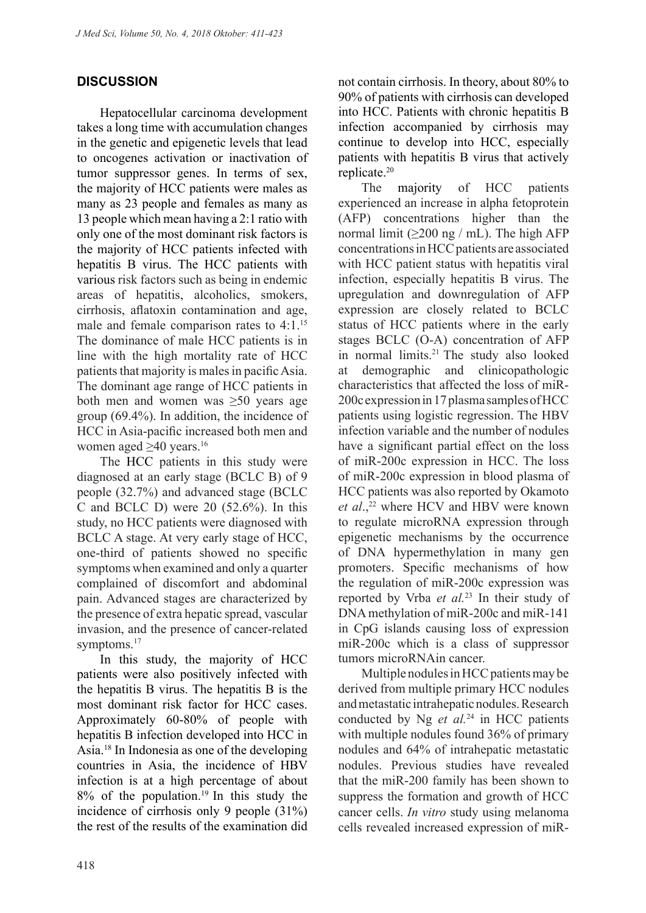# **DISCUSSION**

Hepatocellular carcinoma development takes a long time with accumulation changes in the genetic and epigenetic levels that lead to oncogenes activation or inactivation of tumor suppressor genes. In terms of sex, the majority of HCC patients were males as many as 23 people and females as many as 13 people which mean having a 2:1 ratio with only one of the most dominant risk factors is the majority of HCC patients infected with hepatitis B virus. The HCC patients with various risk factors such as being in endemic areas of hepatitis, alcoholics, smokers, cirrhosis, aflatoxin contamination and age, male and female comparison rates to 4:1.<sup>15</sup> The dominance of male HCC patients is in line with the high mortality rate of HCC patients that majority is males in pacific Asia. The dominant age range of HCC patients in both men and women was ≥50 years age group (69.4%). In addition, the incidence of HCC in Asia-pacific increased both men and women aged >40 years.<sup>16</sup>

The HCC patients in this study were diagnosed at an early stage (BCLC B) of 9 people (32.7%) and advanced stage (BCLC C and BCLC D) were  $20$  (52.6%). In this study, no HCC patients were diagnosed with BCLC A stage. At very early stage of HCC, one-third of patients showed no specific symptoms when examined and only a quarter complained of discomfort and abdominal pain. Advanced stages are characterized by the presence of extra hepatic spread, vascular invasion, and the presence of cancer-related symptoms.<sup>17</sup>

In this study, the majority of HCC patients were also positively infected with the hepatitis B virus. The hepatitis B is the most dominant risk factor for HCC cases. Approximately 60-80% of people with hepatitis B infection developed into HCC in Asia.18 In Indonesia as one of the developing countries in Asia, the incidence of HBV infection is at a high percentage of about  $8\%$  of the population.<sup>19</sup> In this study the incidence of cirrhosis only 9 people (31%) the rest of the results of the examination did not contain cirrhosis. In theory, about 80% to 90% of patients with cirrhosis can developed into HCC. Patients with chronic hepatitis B infection accompanied by cirrhosis may continue to develop into HCC, especially patients with hepatitis B virus that actively replicate.20

The majority of HCC patients experienced an increase in alpha fetoprotein (AFP) concentrations higher than the normal limit (≥200 ng / mL). The high AFP concentrations in HCC patients are associated with HCC patient status with hepatitis viral infection, especially hepatitis B virus. The upregulation and downregulation of AFP expression are closely related to BCLC status of HCC patients where in the early stages BCLC (O-A) concentration of AFP in normal limits.<sup>21</sup> The study also looked at demographic and clinicopathologic characteristics that affected the loss of miR-200c expression in 17 plasma samples of HCC patients using logistic regression. The HBV infection variable and the number of nodules have a significant partial effect on the loss of miR-200c expression in HCC. The loss of miR-200c expression in blood plasma of HCC patients was also reported by Okamoto et al.,<sup>22</sup> where HCV and HBV were known to regulate microRNA expression through epigenetic mechanisms by the occurrence of DNA hypermethylation in many gen promoters. Specific mechanisms of how the regulation of miR-200c expression was reported by Vrba *et al.*23 In their study of DNA methylation of miR-200c and miR-141 in CpG islands causing loss of expression miR-200c which is a class of suppressor tumors microRNAin cancer.

Multiple nodules in HCC patients may be derived from multiple primary HCC nodules and metastatic intrahepatic nodules. Research conducted by Ng *et al.*24 in HCC patients with multiple nodules found 36% of primary nodules and 64% of intrahepatic metastatic nodules. Previous studies have revealed that the miR-200 family has been shown to suppress the formation and growth of HCC cancer cells. *In vitro* study using melanoma cells revealed increased expression of miR-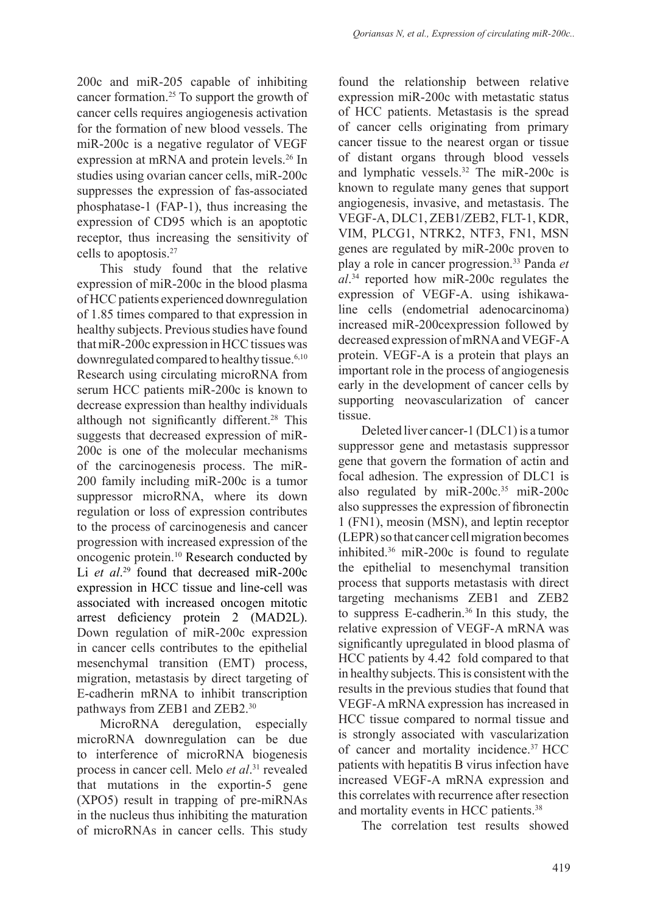200c and miR-205 capable of inhibiting cancer formation.25 To support the growth of cancer cells requires angiogenesis activation for the formation of new blood vessels. The miR-200c is a negative regulator of VEGF expression at mRNA and protein levels.26 In studies using ovarian cancer cells, miR-200c suppresses the expression of fas-associated phosphatase-1 (FAP-1), thus increasing the expression of CD95 which is an apoptotic receptor, thus increasing the sensitivity of cells to apoptosis.27

This study found that the relative expression of miR-200c in the blood plasma of HCC patients experienced downregulation of 1.85 times compared to that expression in healthy subjects. Previous studies have found that miR-200c expression in HCC tissues was downregulated compared to healthy tissue.<sup>6,10</sup> Research using circulating microRNA from serum HCC patients miR-200c is known to decrease expression than healthy individuals although not significantly different.<sup>28</sup> This suggests that decreased expression of miR-200c is one of the molecular mechanisms of the carcinogenesis process. The miR-200 family including miR-200c is a tumor suppressor microRNA, where its down regulation or loss of expression contributes to the process of carcinogenesis and cancer progression with increased expression of the oncogenic protein.10 Research conducted by Li *et al*. 29 found that decreased miR-200c expression in HCC tissue and line-cell was associated with increased oncogen mitotic arrest deficiency protein 2 (MAD2L). Down regulation of miR-200c expression in cancer cells contributes to the epithelial mesenchymal transition (EMT) process, migration, metastasis by direct targeting of E-cadherin mRNA to inhibit transcription pathways from ZEB1 and ZEB2.30

MicroRNA deregulation, especially microRNA downregulation can be due to interference of microRNA biogenesis process in cancer cell. Melo *et al*. 31 revealed that mutations in the exportin-5 gene (XPO5) result in trapping of pre-miRNAs in the nucleus thus inhibiting the maturation of microRNAs in cancer cells. This study

found the relationship between relative expression miR-200c with metastatic status of HCC patients. Metastasis is the spread of cancer cells originating from primary cancer tissue to the nearest organ or tissue of distant organs through blood vessels and lymphatic vessels.32 The miR-200c is known to regulate many genes that support angiogenesis, invasive, and metastasis. The VEGF-A, DLC1, ZEB1/ZEB2, FLT-1, KDR, VIM, PLCG1, NTRK2, NTF3, FN1, MSN genes are regulated by miR-200c proven to play a role in cancer progression.33 Panda *et al*. 34 reported how miR-200c regulates the expression of VEGF-A. using ishikawaline cells (endometrial adenocarcinoma) increased miR-200cexpression followed by decreased expression of mRNA and VEGF-A protein. VEGF-A is a protein that plays an important role in the process of angiogenesis early in the development of cancer cells by supporting neovascularization of cancer tissue.

Deleted liver cancer-1 (DLC1) is a tumor suppressor gene and metastasis suppressor gene that govern the formation of actin and focal adhesion. The expression of DLC1 is also regulated by  $\text{miR-200c}.^{35} \text{miR-200c}$ also suppresses the expression of fibronectin 1 (FN1), meosin (MSN), and leptin receptor (LEPR) so that cancer cell migration becomes inhibited.36 miR-200c is found to regulate the epithelial to mesenchymal transition process that supports metastasis with direct targeting mechanisms ZEB1 and ZEB2 to suppress E-cadherin.<sup>36</sup> In this study, the relative expression of VEGF-A mRNA was significantly upregulated in blood plasma of HCC patients by 4.42 fold compared to that in healthy subjects. This is consistent with the results in the previous studies that found that VEGF-A mRNA expression has increased in HCC tissue compared to normal tissue and is strongly associated with vascularization of cancer and mortality incidence.37 HCC patients with hepatitis B virus infection have increased VEGF-A mRNA expression and this correlates with recurrence after resection and mortality events in HCC patients.<sup>38</sup>

The correlation test results showed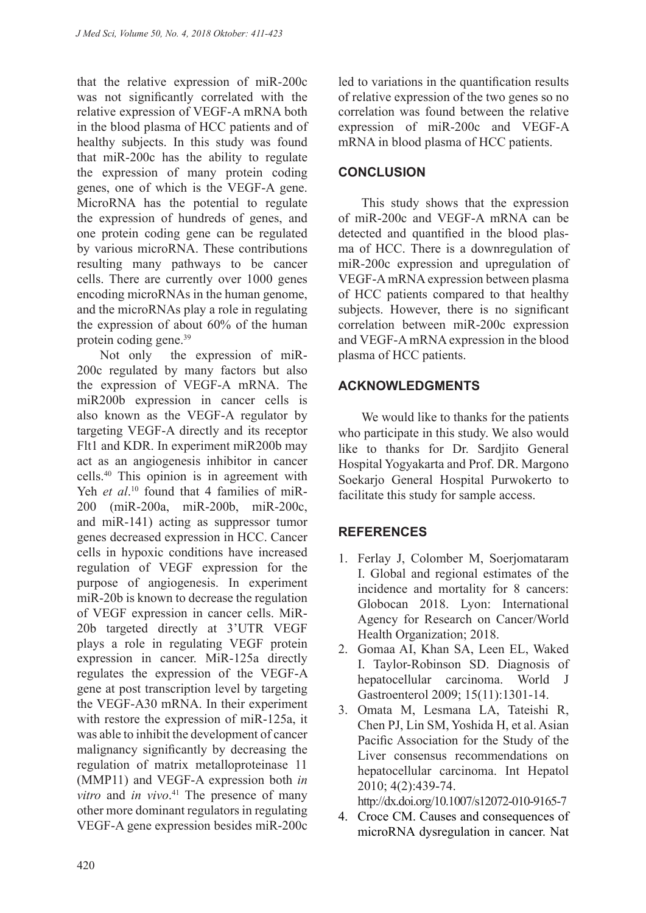that the relative expression of miR-200c was not significantly correlated with the relative expression of VEGF-A mRNA both in the blood plasma of HCC patients and of healthy subjects. In this study was found that miR-200c has the ability to regulate the expression of many protein coding genes, one of which is the VEGF-A gene. MicroRNA has the potential to regulate the expression of hundreds of genes, and one protein coding gene can be regulated by various microRNA. These contributions resulting many pathways to be cancer cells. There are currently over 1000 genes encoding microRNAs in the human genome, and the microRNAs play a role in regulating the expression of about 60% of the human protein coding gene.39

Not only the expression of miR-200c regulated by many factors but also the expression of VEGF-A mRNA. The miR200b expression in cancer cells is also known as the VEGF-A regulator by targeting VEGF-A directly and its receptor Flt1 and KDR. In experiment miR200b may act as an angiogenesis inhibitor in cancer cells.40 This opinion is in agreement with Yeh *et al.*<sup>10</sup> found that 4 families of miR-200 (miR-200a, miR-200b, miR-200c, and miR-141) acting as suppressor tumor genes decreased expression in HCC. Cancer cells in hypoxic conditions have increased regulation of VEGF expression for the purpose of angiogenesis. In experiment miR-20b is known to decrease the regulation of VEGF expression in cancer cells. MiR-20b targeted directly at 3'UTR VEGF plays a role in regulating VEGF protein expression in cancer. MiR-125a directly regulates the expression of the VEGF-A gene at post transcription level by targeting the VEGF-A30 mRNA. In their experiment with restore the expression of miR-125a, it was able to inhibit the development of cancer malignancy significantly by decreasing the regulation of matrix metalloproteinase 11 (MMP11) and VEGF-A expression both *in vitro* and *in vivo*. 41 The presence of many other more dominant regulators in regulating VEGF-A gene expression besides miR-200c

led to variations in the quantification results of relative expression of the two genes so no correlation was found between the relative expression of miR-200c and VEGF-A mRNA in blood plasma of HCC patients.

## **CONCLUSION**

This study shows that the expression of miR-200c and VEGF-A mRNA can be detected and quantified in the blood plasma of HCC. There is a downregulation of miR-200c expression and upregulation of VEGF-A mRNA expression between plasma of HCC patients compared to that healthy subjects. However, there is no significant correlation between miR-200c expression and VEGF-A mRNA expression in the blood plasma of HCC patients.

## **ACKNOWLEDGMENTS**

We would like to thanks for the patients who participate in this study. We also would like to thanks for Dr. Sardjito General Hospital Yogyakarta and Prof. DR. Margono Soekarjo General Hospital Purwokerto to facilitate this study for sample access.

## **REFERENCES**

- 1. Ferlay J, Colomber M, Soerjomataram I. Global and regional estimates of the incidence and mortality for 8 cancers: Globocan 2018. Lyon: International Agency for Research on Cancer/World Health Organization; 2018.
- 2. Gomaa AI, Khan SA, Leen EL, Waked I. Taylor-Robinson SD. Diagnosis of hepatocellular carcinoma. World J Gastroenterol 2009; 15(11):1301-14.
- 3. Omata M, Lesmana LA, Tateishi R, Chen PJ, Lin SM, Yoshida H, et al. Asian Pacific Association for the Study of the Liver consensus recommendations on hepatocellular carcinoma. Int Hepatol 2010; 4(2):439-74.

http://dx.doi.org/10.1007/s12072-010-9165-7

4. Croce CM. Causes and consequences of microRNA dysregulation in cancer. Nat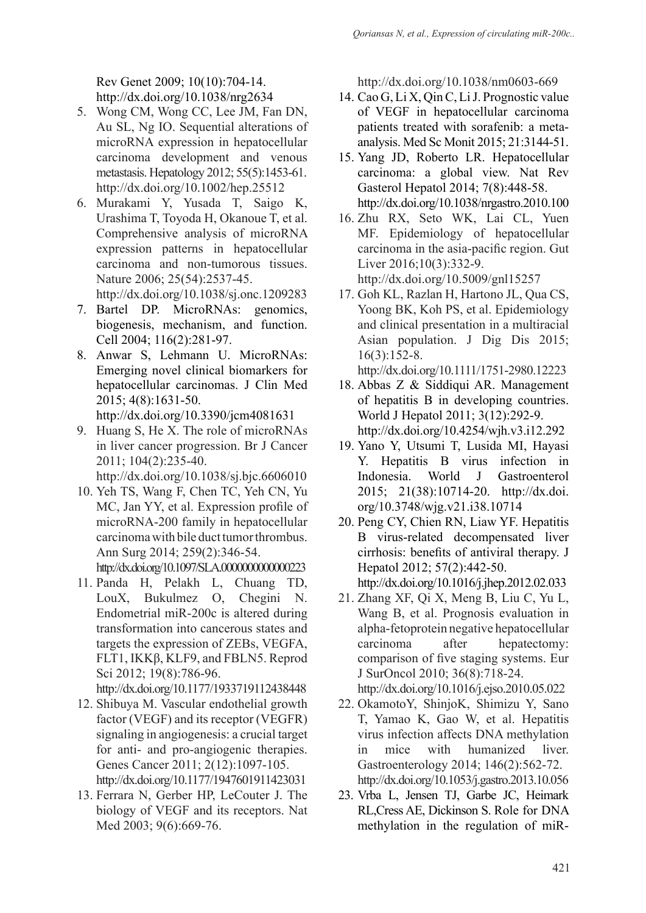Rev Genet 2009; 10(10):704-14. http://dx.doi.org/10.1038/nrg2634

- 5. Wong CM, Wong CC, Lee JM, Fan DN, Au SL, Ng IO. Sequential alterations of microRNA expression in hepatocellular carcinoma development and venous metastasis. Hepatology 2012; 55(5):1453-61. http://dx.doi.org/10.1002/hep.25512
- 6. Murakami Y, Yusada T, Saigo K, Urashima T, Toyoda H, Okanoue T, et al. Comprehensive analysis of microRNA expression patterns in hepatocellular carcinoma and non-tumorous tissues. Nature 2006; 25(54):2537-45.

http://dx.doi.org/10.1038/sj.onc.1209283

- 7. Bartel DP. MicroRNAs: genomics, biogenesis, mechanism, and function. Cell 2004; 116(2):281-97.
- 8. Anwar S, Lehmann U. MicroRNAs: Emerging novel clinical biomarkers for hepatocellular carcinomas. J Clin Med 2015; 4(8):1631-50. http://dx.doi.org/10.3390/jcm4081631
- 9. Huang S, He X. The role of microRNAs in liver cancer progression. Br J Cancer 2011; 104(2):235-40.

http://dx.doi.org/10.1038/sj.bjc.6606010

- 10. Yeh TS, Wang F, Chen TC, Yeh CN, Yu MC, Jan YY, et al. Expression profile of microRNA-200 family in hepatocellular carcinoma with bile duct tumor thrombus. Ann Surg 2014; 259(2):346-54. http://dx.doi.org/10.1097/SLA.0000000000000223
- 11. Panda H, Pelakh L, Chuang TD, LouX, Bukulmez O, Chegini N. Endometrial miR-200c is altered during transformation into cancerous states and targets the expression of ZEBs, VEGFA, FLT1, IKKβ, KLF9, and FBLN5. Reprod Sci 2012; 19(8):786-96.

http://dx.doi.org/10.1177/1933719112438448

- 12. Shibuya M. Vascular endothelial growth factor (VEGF) and its receptor (VEGFR) signaling in angiogenesis: a crucial target for anti- and pro-angiogenic therapies. Genes Cancer 2011; 2(12):1097-105. http://dx.doi.org/10.1177/1947601911423031
- 13. Ferrara N, Gerber HP, LeCouter J. The biology of VEGF and its receptors. Nat Med 2003; 9(6):669-76.

http://dx.doi.org/10.1038/nm0603-669

- 14. Cao G, Li X, Qin C, Li J. Prognostic value of VEGF in hepatocellular carcinoma patients treated with sorafenib: a metaanalysis. Med Sc Monit 2015; 21:3144-51.
- 15. Yang JD, Roberto LR. Hepatocellular carcinoma: a global view. Nat Rev Gasterol Hepatol 2014; 7(8):448-58. http://dx.doi.org/10.1038/nrgastro.2010.100
- 16. Zhu RX, Seto WK, Lai CL, Yuen MF. Epidemiology of hepatocellular carcinoma in the asia-pacific region. Gut Liver 2016;10(3):332-9. http://dx.doi.org/10.5009/gnl15257
- 17. Goh KL, Razlan H, Hartono JL, Qua CS, Yoong BK, Koh PS, et al. Epidemiology and clinical presentation in a multiracial Asian population. J Dig Dis 2015; 16(3):152-8.

http://dx.doi.org/10.1111/1751-2980.12223

- 18. Abbas Z & Siddiqui AR. Management of hepatitis B in developing countries. World J Hepatol 2011; 3(12):292-9. http://dx.doi.org/10.4254/wjh.v3.i12.292
- 19. Yano Y, Utsumi T, Lusida MI, Hayasi Y. Hepatitis B virus infection in Indonesia. World J Gastroenterol 2015; 21(38):10714-20. http://dx.doi. org/10.3748/wjg.v21.i38.10714
- 20. Peng CY, Chien RN, Liaw YF. Hepatitis B virus-related decompensated liver cirrhosis: benefits of antiviral therapy. J Hepatol 2012; 57(2):442-50. http://dx.doi.org/10.1016/j.jhep.2012.02.033
- 21. Zhang XF, Qi X, Meng B, Liu C, Yu L, Wang B, et al. Prognosis evaluation in alpha-fetoprotein negative hepatocellular carcinoma after hepatectomy: comparison of five staging systems. Eur J SurOncol 2010; 36(8):718-24.

http://dx.doi.org/10.1016/j.ejso.2010.05.022

- 22. OkamotoY, ShinjoK, Shimizu Y, Sano T, Yamao K, Gao W, et al. Hepatitis virus infection affects DNA methylation in mice with humanized liver. Gastroenterology 2014; 146(2):562-72. http://dx.doi.org/10.1053/j.gastro.2013.10.056
- 23. Vrba L, Jensen TJ, Garbe JC, Heimark RL,Cress AE, Dickinson S. Role for DNA methylation in the regulation of miR-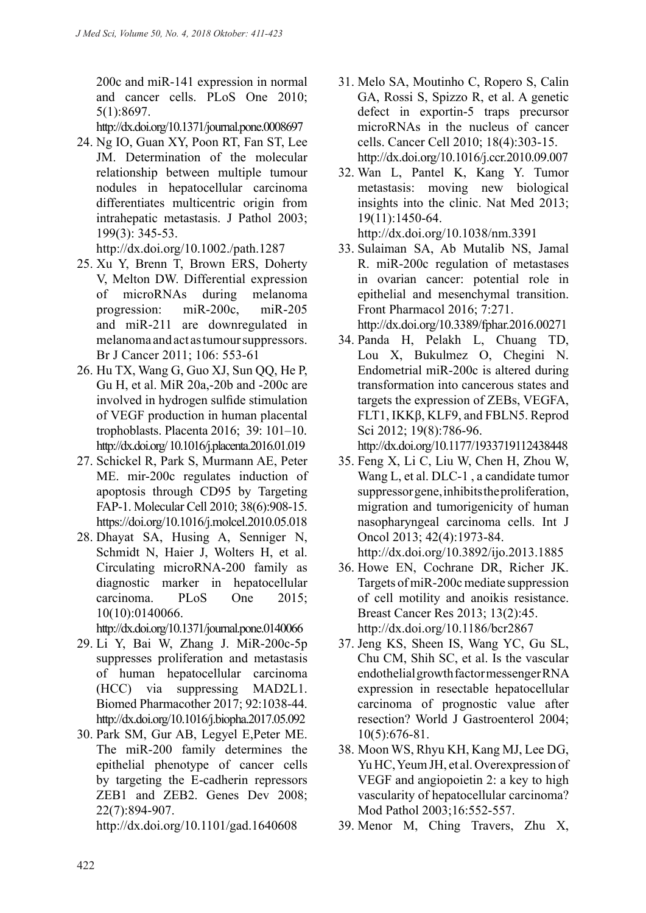200c and miR-141 expression in normal and cancer cells. PLoS One 2010; 5(1):8697.

http://dx.doi.org/10.1371/journal.pone.0008697

24. Ng IO, Guan XY, Poon RT, Fan ST, Lee JM. Determination of the molecular relationship between multiple tumour nodules in hepatocellular carcinoma differentiates multicentric origin from intrahepatic metastasis. J Pathol 2003; 199(3): 345-53.

http://dx.doi.org/10.1002./path.1287

- 25. Xu Y, Brenn T, Brown ERS, Doherty V, Melton DW. Differential expression of microRNAs during melanoma progression: miR-200c, miR-205 and miR-211 are downregulated in melanoma and act as tumour suppressors. Br J Cancer 2011; 106: 553-61
- 26. Hu TX, Wang G, Guo XJ, Sun QQ, He P, Gu H, et al. MiR 20a,-20b and -200c are involved in hydrogen sulfide stimulation of VEGF production in human placental trophoblasts. Placenta 2016; 39: 101–10. http://dx.doi.org/ 10.1016/j.placenta.2016.01.019
- 27. Schickel R, Park S, Murmann AE, Peter ME. mir-200c regulates induction of apoptosis through CD95 by Targeting FAP-1. Molecular Cell 2010; 38(6):908-15. https://doi.org/10.1016/j.molcel.2010.05.018
- 28. Dhayat SA, Husing A, Senniger N, Schmidt N, Haier J, Wolters H, et al. Circulating microRNA-200 family as diagnostic marker in hepatocellular carcinoma. PLoS One 2015; 10(10):0140066.

http://dx.doi.org/10.1371/journal.pone.0140066

- 29. Li Y, Bai W, Zhang J. MiR-200c-5p suppresses proliferation and metastasis of human hepatocellular carcinoma (HCC) via suppressing MAD2L1. Biomed Pharmacother 2017; 92:1038-44. http://dx.doi.org/10.1016/j.biopha.2017.05.092
- 30. Park SM, Gur AB, Legyel E,Peter ME. The miR-200 family determines the epithelial phenotype of cancer cells by targeting the E-cadherin repressors ZEB1 and ZEB2. Genes Dev 2008; 22(7):894-907.

http://dx.doi.org/10.1101/gad.1640608

- 31. Melo SA, Moutinho C, Ropero S, Calin GA, Rossi S, Spizzo R, et al. A genetic defect in exportin-5 traps precursor microRNAs in the nucleus of cancer cells. Cancer Cell 2010; 18(4):303-15. http://dx.doi.org/10.1016/j.ccr.2010.09.007
- 32. Wan L, Pantel K, Kang Y. Tumor metastasis: moving new biological insights into the clinic. Nat Med 2013; 19(11):1450-64. http://dx.doi.org/10.1038/nm.3391
- 33. Sulaiman SA, Ab Mutalib NS, Jamal R. miR-200c regulation of metastases in ovarian cancer: potential role in epithelial and mesenchymal transition. Front Pharmacol 2016; 7:271.
- http://dx.doi.org/10.3389/fphar.2016.00271
- 34. Panda H, Pelakh L, Chuang TD, Lou X, Bukulmez O, Chegini N. Endometrial miR-200c is altered during transformation into cancerous states and targets the expression of ZEBs, VEGFA, FLT1, IKKβ, KLF9, and FBLN5. Reprod Sci 2012; 19(8):786-96.

http://dx.doi.org/10.1177/1933719112438448

35. Feng X, Li C, Liu W, Chen H, Zhou W, Wang L, et al. DLC-1 , a candidate tumor suppressor gene, inhibits the proliferation, migration and tumorigenicity of human nasopharyngeal carcinoma cells. Int J Oncol 2013; 42(4):1973-84.

http://dx.doi.org/10.3892/ijo.2013.1885

- 36. Howe EN, Cochrane DR, Richer JK. Targets of miR-200c mediate suppression of cell motility and anoikis resistance. Breast Cancer Res 2013; 13(2):45. http://dx.doi.org/10.1186/bcr2867
- 37. Jeng KS, Sheen IS, Wang YC, Gu SL, Chu CM, Shih SC, et al. Is the vascular endothelial growth factor messenger RNA expression in resectable hepatocellular carcinoma of prognostic value after resection? World J Gastroenterol 2004; 10(5):676-81.
- 38. Moon WS, Rhyu KH, Kang MJ, Lee DG, Yu HC, Yeum JH, et al. Overexpression of VEGF and angiopoietin 2: a key to high vascularity of hepatocellular carcinoma? Mod Pathol 2003;16:552-557.
- 39. Menor M, Ching Travers, Zhu X,